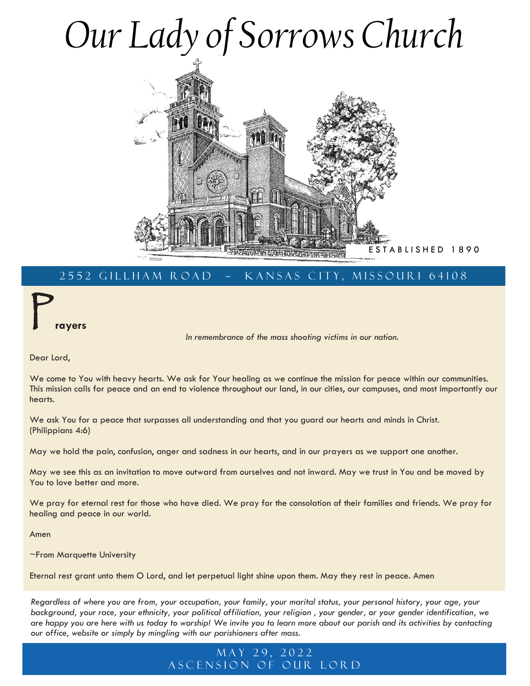# *Our Lady of Sorrows Church*



# 2552 GILLHAM ROAD ~ KANSAS CITY, MISSOURI 64108

P **rayers**

*In remembrance of the mass shooting victims in our nation.*

Dear Lord,

We come to You with heavy hearts. We ask for Your healing as we continue the mission for peace within our communities. This mission calls for peace and an end to violence throughout our land, in our cities, our campuses, and most importantly our hearts.

We ask You for a peace that surpasses all understanding and that you guard our hearts and minds in Christ. (Philippians 4:6)

May we hold the pain, confusion, anger and sadness in our hearts, and in our prayers as we support one another.

May we see this as an invitation to move outward from ourselves and not inward. May we trust in You and be moved by You to love better and more.

We pray for eternal rest for those who have died. We pray for the consolation of their families and friends. We pray for healing and peace in our world.

Amen

~From Marquette University

Eternal rest grant unto them O Lord, and let perpetual light shine upon them. May they rest in peace. Amen

*Regardless of where you are from, your occupation, your family, your marital status, your personal history, your age, your background, your race, your ethnicity, your political affiliation, your religion , your gender, or your gender identification, we are happy you are here with us today to worship! We invite you to learn more about our parish and its activities by contacting our office, website or simply by mingling with our parishioners after mass.*

## MAY 29, 2022 A SCENSION OF OUR LORD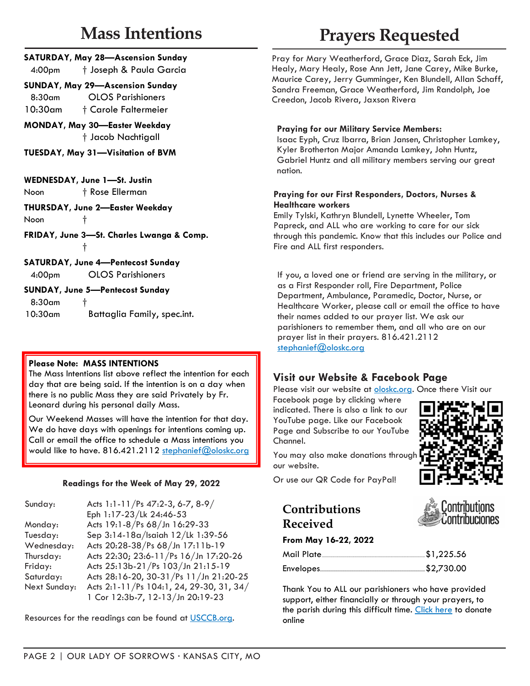# **Mass Intentions**

|                    | <b>SATURDAY, May 28-Ascension Sunday</b> |
|--------------------|------------------------------------------|
| 4:00 <sub>pm</sub> | † Joseph & Paula Garcia                  |

#### **SUNDAY, May 29—Ascension Sunday** 8:30am OLOS Parishioners

10:30am † Carole Faltermeier

**MONDAY, May 30—Easter Weekday** † Jacob Nachtigall

**TUESDAY, May 31—Visitation of BVM**

**WEDNESDAY, June 1—St. Justin** Noon † Rose Ellerman

**THURSDAY, June 2—Easter Weekday** Noon <sub>1</sub>

**FRIDAY, June 3—St. Charles Lwanga & Comp.** †

**SATURDAY, June 4—Pentecost Sunday**

4:00pm OLOS Parishioners

#### **SUNDAY, June 5—Pentecost Sunday**

 $8:30$ am 10:30am Battaglia Family, spec.int.

#### **Please Note: MASS INTENTIONS**

The Mass Intentions list above reflect the intention for each day that are being said. If the intention is on a day when there is no public Mass they are said Privately by Fr. Leonard during his personal daily Mass.

Our Weekend Masses will have the intention for that day. We do have days with openings for intentions coming up. Call or email the office to schedule a Mass intentions you would like to have. 816.421.2112 [stephanief@oloskc.org](mailto:stephanief@oloskc.org?subject=Mass%20Intention%20Request)

#### **Readings for the Week of May 29, 2022**

| Sunday:      | Acts 1:1-11/Ps 47:2-3, 6-7, 8-9/         |
|--------------|------------------------------------------|
|              | Eph 1:17-23/Lk 24:46-53                  |
| Monday:      | Acts 19:1-8/Ps 68/Jn 16:29-33            |
| Tuesday:     | Sep 3:14-18a/Isaiah 12/Lk 1:39-56        |
| Wednesday:   | Acts 20:28-38/Ps 68/Jn 17:11b-19         |
| Thursday:    | Acts 22:30; 23:6-11/Ps 16/Jn 17:20-26    |
| Friday:      | Acts 25:13b-21/Ps 103/Jn 21:15-19        |
| Saturday:    | Acts 28:16-20, 30-31/Ps 11/Jn 21:20-25   |
| Next Sunday: | Acts 2:1-11/Ps 104:1, 24, 29-30, 31, 34/ |
|              | 1 Cor 12:3b-7, 12-13/Jn 20:19-23         |

Resources for the readings can be found at [USCCB.org.](http://usccb.org/)

# **Prayers Requested**

Pray for Mary Weatherford, Grace Diaz, Sarah Eck, Jim Healy, Mary Healy, Rose Ann Jett, Jane Carey, Mike Burke, Maurice Carey, Jerry Gumminger, Ken Blundell, Allan Schaff, Sandra Freeman, Grace Weatherford, Jim Randolph, Joe Creedon, Jacob Rivera, Jaxson Rivera

#### **Praying for our Military Service Members:**

Isaac Eyph, Cruz Ibarra, Brian Jansen, Christopher Lamkey, Kyler Brotherton Major Amanda Lamkey, John Huntz, Gabriel Huntz and all military members serving our great nation.

#### **Praying for our First Responders, Doctors, Nurses & Healthcare workers**

Emily Tylski, Kathryn Blundell, Lynette Wheeler, Tom Papreck, and ALL who are working to care for our sick through this pandemic. Know that this includes our Police and Fire and ALL first responders.

If you, a loved one or friend are serving in the military, or as a First Responder roll, Fire Department, Police Department, Ambulance, Paramedic, Doctor, Nurse, or Healthcare Worker, please call or email the office to have their names added to our prayer list. We ask our parishioners to remember them, and all who are on our prayer list in their prayers. 816.421.2112 [stephanief@oloskc.org](mailto:stephanief@oloskc.org?subject=Prayer%20Request)

# **Visit our Website & Facebook Page**

Please visit our website at **oloskc.org**. Once there Visit our

Facebook page by clicking where indicated. There is also a link to our YouTube page. Like our Facebook Page and Subscribe to our YouTube Channel.



tribuciones

You may also make donations through our website.

Or use our QR Code for PayPal!

# **Contributions Received**

#### **From May 16-22, 2022**

| Mail Plate | \$1,225.56 |
|------------|------------|
|            |            |

Thank You to ALL our parishioners who have provided support, either financially or through your prayers, to the parish during this difficult time. [Click here](https://www.paypal.com/donate/?cmd=_s-xclick&hosted_button_id=DM53QRVE4E7BY&source=url) to donate online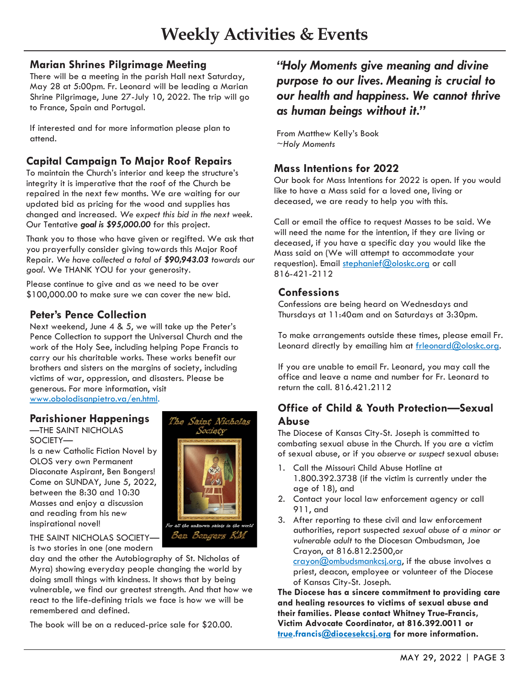## **Marian Shrines Pilgrimage Meeting**

There will be a meeting in the parish Hall next Saturday, May 28 at 5:00pm. Fr. Leonard will be leading a Marian Shrine Pilgrimage, June 27-July 10, 2022. The trip will go to France, Spain and Portugal.

If interested and for more information please plan to attend.

# **Capital Campaign To Major Roof Repairs**

To maintain the Church's interior and keep the structure's integrity it is imperative that the roof of the Church be repaired in the next few months. We are waiting for our updated bid as pricing for the wood and supplies has changed and increased. *We expect this bid in the next week.* Our Tentative *goal is \$95,000.00* for this project.

Thank you to those who have given or regifted. We ask that you prayerfully consider giving towards this Major Roof Repair. *We have collected a total of \$90,943.03 towards our goal.* We THANK YOU for your generosity.

Please continue to give and as we need to be over \$100,000.00 to make sure we can cover the new bid.

## **Peter's Pence Collection**

Next weekend, June 4 & 5, we will take up the Peter's Pence Collection to support the Universal Church and the work of the Holy See, including helping Pope Francis to carry our his charitable works. These works benefit our brothers and sisters on the margins of society, including victims of war, oppression, and disasters. Please be generous. For more information, visit [www.obolodisanpietro.va/en.html.](https://www.obolodisanpietro.va/en.html)

### **Parishioner Happenings**

—THE SAINT NICHOLAS SOCIETY—

Is a new Catholic Fiction Novel by OLOS very own Permanent Diaconate Aspirant, Ben Bongers! Come on SUNDAY, June 5, 2022, between the 8:30 and 10:30 Masses and enjoy a discussion and reading from his new inspirational novel!



The Saint Nicholas Society

THE SAINT NICHOLAS SOCIETY is two stories in one (one modern

day and the other the Autobiography of St. Nicholas of Myra) showing everyday people changing the world by doing small things with kindness. It shows that by being vulnerable, we find our greatest strength. And that how we react to the life-defining trials we face is how we will be remembered and defined.

The book will be on a reduced-price sale for \$20.00.

# *"Holy Moments give meaning and divine purpose to our lives. Meaning is crucial to our health and happiness. We cannot thrive as human beings without it."*

From Matthew Kelly's Book *~Holy Moments*

#### **Mass Intentions for 2022**

Our book for Mass Intentions for 2022 is open. If you would like to have a Mass said for a loved one, living or deceased, we are ready to help you with this.

Call or email the office to request Masses to be said. We will need the name for the intention, if they are living or deceased, if you have a specific day you would like the Mass said on (We will attempt to accommodate your requestion). Email [stephanief@oloskc.org](mailto:stephanief@oloskc.org?subject=Mass%20Intentions) or call 816-421-2112

# **Confessions**

Confessions are being heard on Wednesdays and Thursdays at 11:40am and on Saturdays at 3:30pm.

To make arrangements outside these times, please email Fr. Leonard directly by emailing him at [frleonard@oloskc.org.](mailto:frleonard@oloskc.org?subject=Confession)

If you are unable to email Fr. Leonard, you may call the office and leave a name and number for Fr. Leonard to return the call. 816.421.2112

# **Office of Child & Youth Protection—Sexual Abuse**

The Diocese of Kansas City-St. Joseph is committed to combating sexual abuse in the Church. If you are a victim of sexual abuse, or if you *observe or suspect* sexual abuse:

- 1. Call the Missouri Child Abuse Hotline at 1.800.392.3738 (if the victim is currently under the age of 18), and
- 2. Contact your local law enforcement agency or call 911, and
- 3. After reporting to these civil and law enforcement authorities, report suspected *sexual abuse of a minor or vulnerable adult* to the Diocesan Ombudsman, Joe Crayon, at 816.812.2500,or

[crayon@ombudsmankcsj.org,](mailto:crayon@ombudsmankcsj.org?subject=Report%20Abuse) if the abuse involves a priest, deacon, employee or volunteer of the Diocese of Kansas City-St. Joseph.

**The Diocese has a sincere commitment to providing care and healing resources to victims of sexual abuse and their families. Please contact Whitney True-Francis, Victim Advocate Coordinator, at 816.392.0011 or [true.](mailto:true.francis@diocesekcsj.org?subject=Victim%20Assistance%20Coordinator)francis[@diocesekcsj.org](mailto:victimadvocate@diocesekcsj.org?subject=Victim%20Resources) for more information.**